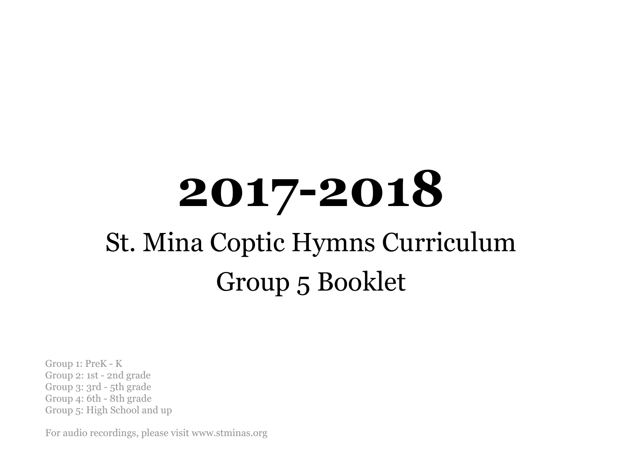# **2017-2018** St. Mina Coptic Hymns Curriculum Group 5 Booklet

Group 1: PreK - K Group 2: 1st - 2nd grade Group 3: 3rd - 5th grade Group 4: 6th - 8th grade Group 5: High School and up

For audio recordings, please visit www.stminas.org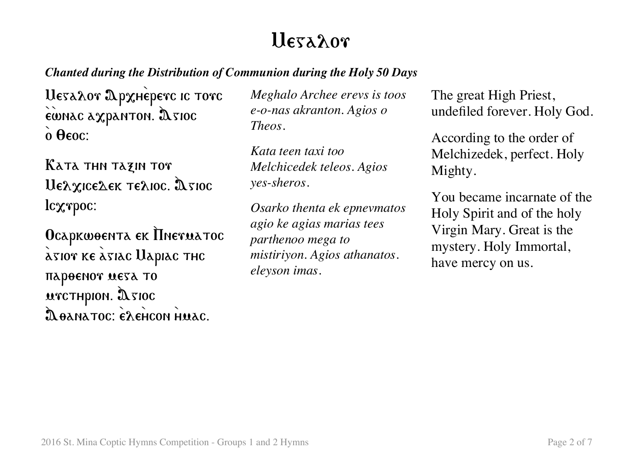# lleyahor

### *Chanted during the Distribution of Communion during the Holy 50 Days*

Uesaλor ΩρχHèperc ic torc EUNAC AXPANTON. DETOC  $\theta$   $\theta$   $\epsilon$   $\theta$   $\epsilon$   $\theta$   $\epsilon$   $\theta$   $\epsilon$   $\theta$   $\epsilon$   $\theta$   $\epsilon$   $\theta$   $\epsilon$   $\theta$   $\epsilon$   $\theta$   $\epsilon$   $\theta$   $\epsilon$   $\theta$   $\epsilon$   $\theta$   $\epsilon$   $\theta$   $\epsilon$   $\theta$   $\epsilon$   $\theta$   $\epsilon$   $\theta$   $\epsilon$   $\theta$   $\epsilon$   $\theta$   $\epsilon$   $\theta$   $\epsilon$   $\theta$   $\epsilon$   $\theta$   $\epsilon$   $\theta$ 

Kata thn tazin tor  $U$ ελχις ελεκ τελιος.  $\mathfrak{A}$  sios lcxxpoc:

Ocapkwoenta ek IIneruatoc  $\lambda$ 5107 ke  $\lambda$ 51ac Uapiac thc пароенот мета то  $\mu$ TCTHPION.  $\mathfrak{A}$  TIOC Doanatoc: exencon Huac.

*Meghalo Archee erevs is toos e-o-nas akranton. Agios o Theos.*

*Kata teen taxi too Melchicedek teleos. Agios yes-sheros.*

*Osarko thenta ek epnevmatos agio ke agias marias tees parthenoo mega to mistiriyon. Agios athanatos. eleyson imas.*

The great High Priest, undefiled forever. Holy God.

According to the order of Melchizedek, perfect. Holy Mighty.

You became incarnate of the Holy Spirit and of the holy Virgin Mary. Great is the mystery. Holy Immortal, have mercy on us.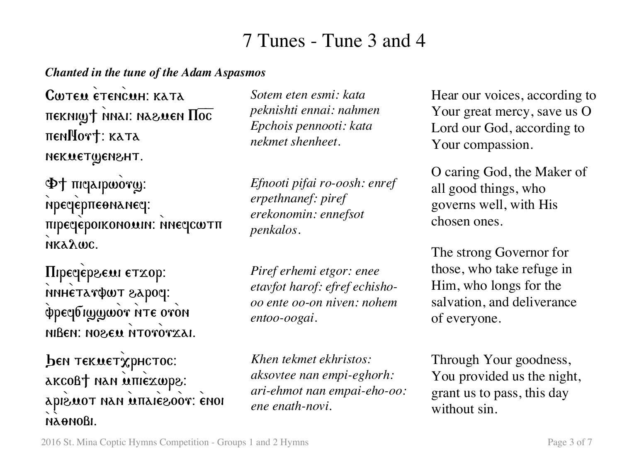## 7 Tunes - Tune 3 and 4

#### *Chanted in the tune of the Adam Aspasmos*

CWTEN ETENCUH: KATA  $n$ екні $\omega$ т $+$  мнаі: назмен  $\Pi$ ос πεη**Nort**: κατα nekuetwensht.

Φ+ πισαιρωότω: мрестерпе өмамеси: πηρεσεροικονο αιν. η Μεσαντπ nka $\lambda$ wc.

**Πιρεσέρεωι ετχορ:** sipoque <del>rand</del>ed xaronne φρεαδιωων ητε ονοη nißen: NO&EM NTOTOTXAI.

ben текметхрнстос: akcoßt nan iniexwps: apiewot nan ûnanêzoor: ènoi naonoßi.

*Sotem eten esmi: kata peknishti ennai: nahmen Epchois pennooti: kata nekmet shenheet.*

*Efnooti pifai ro-oosh: enref erpethnanef: piref erekonomin: ennefsot penkalos.*

*Piref erhemi etgor: enee etavfot harof: efref echishooo ente oo-on niven: nohem entoo-oogai.*

*Khen tekmet ekhristos: aksovtee nan empi-eghorh: ari-ehmot nan empai-eho-oo: ene enath-novi.* 

Hear our voices, according to Your great mercy, save us O Lord our God, according to Your compassion.

O caring God, the Maker of all good things, who governs well, with His chosen ones.

The strong Governor for those, who take refuge in Him, who longs for the salvation, and deliverance of everyone.

Through Your goodness, You provided us the night, grant us to pass, this day without sin.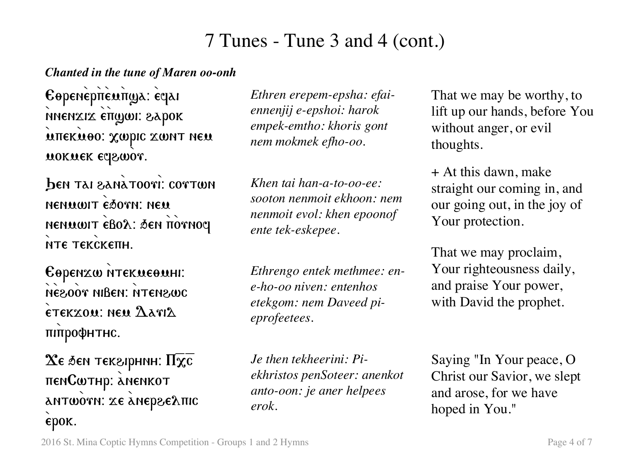### 7 Tunes - Tune 3 and 4 (cont.)

#### *Chanted in the tune of Maren oo-onh*

Eopenepπeuπga: eqai nnenxix eπgwi: 8γbok mueknoo: Xmbic zmul nen mokmek eqswor.

ben tai sanàtoori: cortwn nenwwit esorn: new NENWWIT EBOλ: ΔεΝ πον NOCI мте текскепн.

Eopenzw NTEKWEOMHI: NE&OOT NIBEN: NTEN&WC  $\epsilon$ TEKXOM: NEM  $\Lambda$ avi $\Lambda$ пипрофнтнс.

 $\chi_{\varepsilon}$  бен тек $\varepsilon$ ірнин: П $\overline{\chi_{\varepsilon}}$ πεnCwthp: anenkot antworn: xe anepseAnic  $\epsilon$ pok.

*Ethren erepem-epsha: efaiennenjij e-epshoi: harok empek-emtho: khoris gont nem mokmek efho-oo.*

*Khen tai han-a-to-oo-ee: sooton nenmoit ekhoon: nem nenmoit evol: khen epoonof ente tek-eskepee.* 

*Ethrengo entek methmee: ene-ho-oo niven: entenhos etekgom: nem Daveed pieprofeetees.*

*Je then tekheerini: Piekhristos penSoteer: anenkot anto-oon: je aner helpees erok.*

That we may be worthy, to lift up our hands, before You without anger, or evil thoughts.

+ At this dawn, make straight our coming in, and our going out, in the joy of Your protection.

That we may proclaim, Your righteousness daily, and praise Your power, with David the prophet.

Saying "In Your peace, O Christ our Savior, we slept and arose, for we have hoped in You."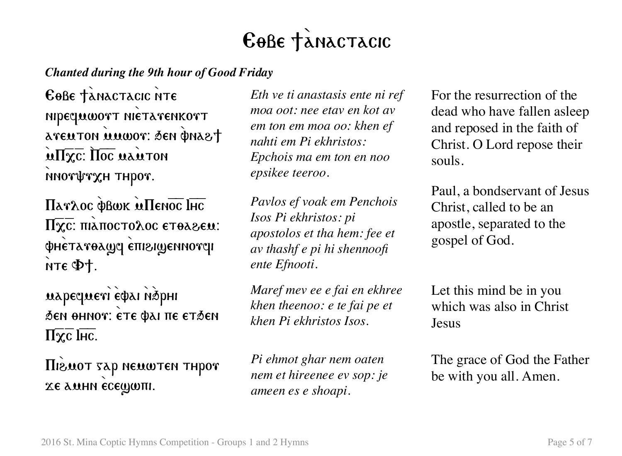# EOBE TANACTACIC

### *Chanted during the 9th hour of Good Friday*

EOBE TANACTACIC NTE nipequwort nietarenkort aveuton uuwor: sen pnast  $\mathbf{M}\mathbf{W}$ . The main ton mortrxH THpor.

Πατλος φβωκ ΜΠεησε ΙΗς  $\Pi \overline{\chi}$  τ: πιλπος τολος ετθλεεω: ΦΗΕΤΑΥΘΑΜΑ ΕΠΙΣΙΜΕΝΝΟΥ Τ  $nT\epsilon \Phi +$ .

mapequeri estai nàphi бен өннот: ете фаі пе етбен  $\Pi \overline{\chi}$ с Інс.

*Higuot sap neuwten thpor* хе амни есещип.

*Eth ve ti anastasis ente ni ref moa oot: nee etav en kot av em ton em moa oo: khen ef nahti em Pi ekhristos: Epchois ma em ton en noo epsikee teeroo.*

*Pavlos ef voak em Penchois Isos Pi ekhristos: pi apostolos et tha hem: fee et av thashf e pi hi shennoofi ente Efnooti.*

*Maref mev ee e fai en ekhree khen theenoo: e te fai pe et khen Pi ekhristos Isos.*

*Pi ehmot ghar nem oaten nem et hireenee ev sop: je ameen es e shoapi.*

For the resurrection of the dead who have fallen asleep and reposed in the faith of Christ. O Lord repose their souls.

Paul, a bondservant of Jesus Christ, called to be an apostle, separated to the gospel of God.

Let this mind be in you which was also in Christ Jesus

The grace of God the Father be with you all. Amen.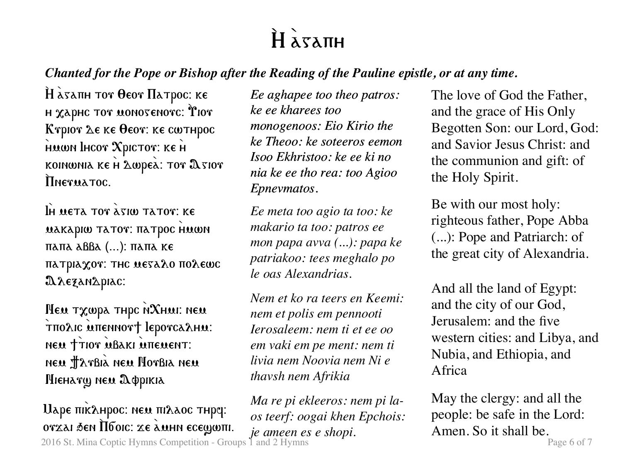# $H \lambda x \lambda \pi H$

### *Chanted for the Pope or Bishop after the Reading of the Pauline epistle, or at any time.*

 $\hat{H}$   $\hat{\alpha}$ sanh tor  $\theta$ eor  $\Pi$ atpoc: ke н  $\chi$ арнс тот монотенотс:  $\mathbf{\hat{r}}$ ют Kγριον Δε κε θεον: κε cωτηρος HUWN IHCOT XPICTOT: KE H koinwnia ke  $H$   $\Delta$ wpea:  $\texttt{Tor}$   $\Delta$ sior Therua Toc.

IH META TOT  $\lambda$  sim tator: Ke **MAKAPIW TATOT: HATPOC HMWN**  $παπα$   $αββα$  (...):  $παπα$  ke  $\pi$ атріа $\chi$ от: тнс меза $\chi$ о по $\chi$ еωс A rezanapiac:

 $M$ ем т $\chi$ шра тнрс N $\chi$ нмі: нем τπολις απεΝΝοντ lepoνς λημ. NEW TTIOT MBAKI MITEMENT: neu Harbià neu Horbia neu Hieharg neu Appikia

2016 St. Mina Coptic Hymns Competition - Groups 1 and 2 Hymns **Page 6 of 7** Page 6 of 7  $U$ аре пік $\lambda$ нрос: нем пі $\lambda$ аос тнр $q$ : ovzai đen Ilбoic: ze amhn ecewwm.

*Ee aghapee too theo patros: ke ee kharees too monogenoos: Eio Kirio the ke Theoo: ke soteeros eemon Isoo Ekhristoo: ke ee ki no nia ke ee tho rea: too Agioo Epnevmatos.*

*Ee meta too agio ta too: ke makario ta too: patros ee mon papa avva (...): papa ke patriakoo: tees meghalo po le oas Alexandrias.*

*Nem et ko ra teers en Keemi: nem et polis em pennooti Ierosaleem: nem ti et ee oo em vaki em pe ment: nem ti livia nem Noovia nem Ni e thavsh nem Afrikia*

*Ma re pi ekleeros: nem pi laos teerf: oogai khen Epchois: je ameen es e shopi.*

The love of God the Father, and the grace of His Only Begotten Son: our Lord, God: and Savior Jesus Christ: and the communion and gift: of the Holy Spirit.

Be with our most holy: righteous father, Pope Abba (...): Pope and Patriarch: of the great city of Alexandria.

And all the land of Egypt: and the city of our God, Jerusalem: and the five western cities: and Libya, and Nubia, and Ethiopia, and Africa

May the clergy: and all the people: be safe in the Lord: Amen. So it shall be.<br> $_{\text{Page 6 of 7}}$